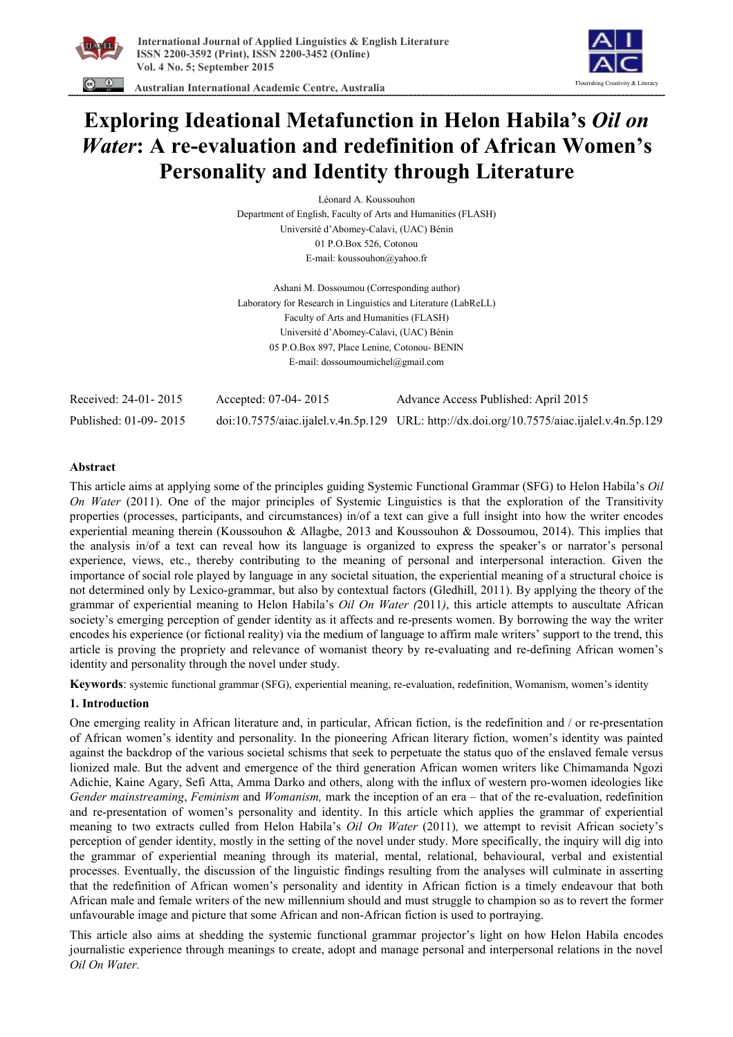



 **Australian International Academic Centre, Australia** 

# **Exploring Ideational Metafunction in Helon Habila's** *Oil on Water***: A re-evaluation and redefinition of African Women's Personality and Identity through Literature**

Léonard A. Koussouhon Department of English, Faculty of Arts and Humanities (FLASH) Université d'Abomey-Calavi, (UAC) Bénin 01 P.O.Box 526, Cotonou E-mail: koussouhon@yahoo.fr

Ashani M. Dossoumou (Corresponding author) Laboratory for Research in Linguistics and Literature (LabReLL) Faculty of Arts and Humanities (FLASH) Université d'Abomey-Calavi, (UAC) Bénin 05 P.O.Box 897, Place Lenine, Cotonou- BENIN E-mail: dossoumoumichel@gmail.com

| Received: 24-01-2015  | Accepted: 07-04-2015 | Advance Access Published: April 2015                                                       |
|-----------------------|----------------------|--------------------------------------------------------------------------------------------|
| Published: 01-09-2015 |                      | doi:10.7575/aiac.ijalel.v.4n.5p.129 URL: http://dx.doi.org/10.7575/aiac.ijalel.v.4n.5p.129 |

# **Abstract**

This article aims at applying some of the principles guiding Systemic Functional Grammar (SFG) to Helon Habila's *Oil On Water* (2011). One of the major principles of Systemic Linguistics is that the exploration of the Transitivity properties (processes, participants, and circumstances) in/of a text can give a full insight into how the writer encodes experiential meaning therein (Koussouhon & Allagbe, 2013 and Koussouhon & Dossoumou, 2014). This implies that the analysis in/of a text can reveal how its language is organized to express the speaker's or narrator's personal experience, views, etc., thereby contributing to the meaning of personal and interpersonal interaction. Given the importance of social role played by language in any societal situation, the experiential meaning of a structural choice is not determined only by Lexico-grammar, but also by contextual factors (Gledhill, 2011). By applying the theory of the grammar of experiential meaning to Helon Habila's *Oil On Water (*2011*)*, this article attempts to auscultate African society's emerging perception of gender identity as it affects and re-presents women. By borrowing the way the writer encodes his experience (or fictional reality) via the medium of language to affirm male writers' support to the trend, this article is proving the propriety and relevance of womanist theory by re-evaluating and re-defining African women's identity and personality through the novel under study.

**Keywords**: systemic functional grammar (SFG), experiential meaning, re-evaluation, redefinition, Womanism, women's identity

#### **1. Introduction**

One emerging reality in African literature and, in particular, African fiction, is the redefinition and / or re-presentation of African women's identity and personality. In the pioneering African literary fiction, women's identity was painted against the backdrop of the various societal schisms that seek to perpetuate the status quo of the enslaved female versus lionized male. But the advent and emergence of the third generation African women writers like Chimamanda Ngozi Adichie, Kaine Agary, Sefi Atta, Amma Darko and others, along with the influx of western pro-women ideologies like *Gender mainstreaming*, *Feminism* and *Womanism,* mark the inception of an era – that of the re-evaluation, redefinition and re-presentation of women's personality and identity. In this article which applies the grammar of experiential meaning to two extracts culled from Helon Habila's *Oil On Water* (2011)*,* we attempt to revisit African society's perception of gender identity, mostly in the setting of the novel under study. More specifically, the inquiry will dig into the grammar of experiential meaning through its material, mental, relational, behavioural, verbal and existential processes. Eventually, the discussion of the linguistic findings resulting from the analyses will culminate in asserting that the redefinition of African women's personality and identity in African fiction is a timely endeavour that both African male and female writers of the new millennium should and must struggle to champion so as to revert the former unfavourable image and picture that some African and non-African fiction is used to portraying.

This article also aims at shedding the systemic functional grammar projector's light on how Helon Habila encodes journalistic experience through meanings to create, adopt and manage personal and interpersonal relations in the novel *Oil On Water.*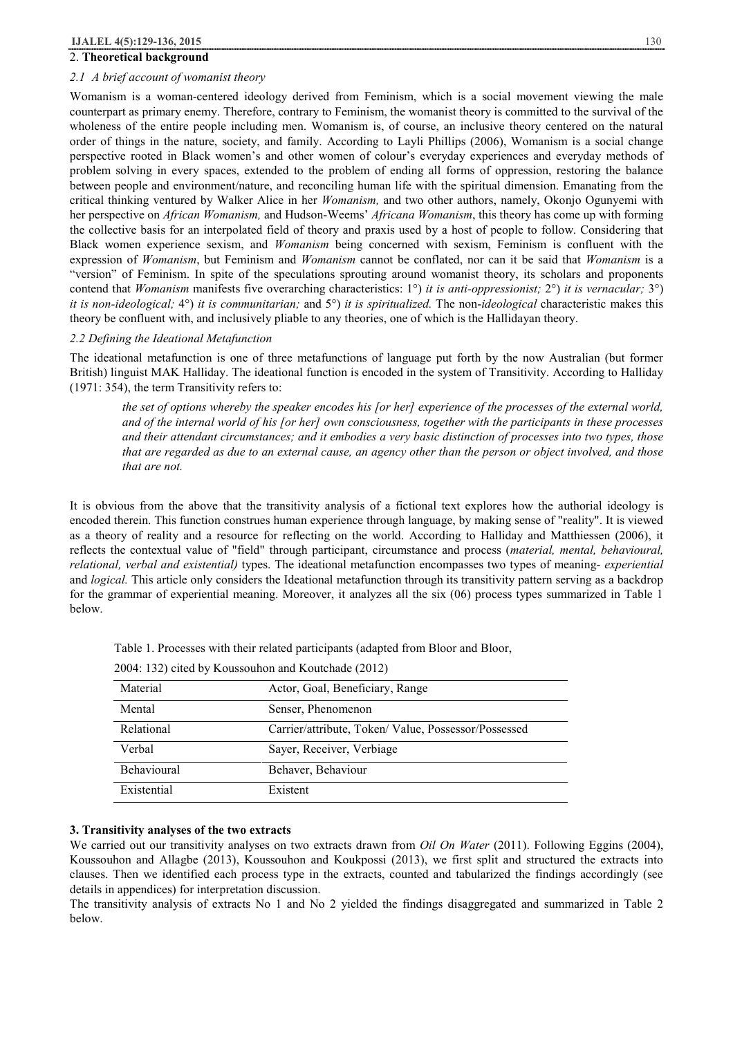#### 2. **Theoretical background**

#### *2.1 A brief account of womanist theory*

Womanism is a woman-centered ideology derived from Feminism, which is a social movement viewing the male counterpart as primary enemy. Therefore, contrary to Feminism, the womanist theory is committed to the survival of the wholeness of the entire people including men. Womanism is, of course, an inclusive theory centered on the natural order of things in the nature, society, and family. According to Layli Phillips (2006), Womanism is a social change perspective rooted in Black women's and other women of colour's everyday experiences and everyday methods of problem solving in every spaces, extended to the problem of ending all forms of oppression, restoring the balance between people and environment/nature, and reconciling human life with the spiritual dimension. Emanating from the critical thinking ventured by Walker Alice in her *Womanism,* and two other authors, namely, Okonjo Ogunyemi with her perspective on *African Womanism,* and Hudson-Weems' *Africana Womanism*, this theory has come up with forming the collective basis for an interpolated field of theory and praxis used by a host of people to follow. Considering that Black women experience sexism, and *Womanism* being concerned with sexism, Feminism is confluent with the expression of *Womanism*, but Feminism and *Womanism* cannot be conflated, nor can it be said that *Womanism* is a "version" of Feminism. In spite of the speculations sprouting around womanist theory, its scholars and proponents contend that *Womanism* manifests five overarching characteristics: 1°) *it is anti-oppressionist;* 2°) *it is vernacular;* 3°) *it is non-ideological;* 4°) *it is communitarian;* and 5°) *it is spiritualized.* The non-*ideological* characteristic makes this theory be confluent with, and inclusively pliable to any theories, one of which is the Hallidayan theory.

#### *2.2 Defining the Ideational Metafunction*

The ideational metafunction is one of three metafunctions of language put forth by the now Australian (but former British) linguist MAK Halliday. The ideational function is encoded in the system of Transitivity. According to Halliday (1971: 354), the term Transitivity refers to:

the set of options whereby the speaker encodes his [or her] experience of the processes of the external world, and of the internal world of his [or her] own consciousness, together with the participants in these processes and their attendant circumstances; and it embodies a very basic distinction of processes into two types, those that are regarded as due to an external cause, an agency other than the person or object involved, and those *that are not.* 

It is obvious from the above that the transitivity analysis of a fictional text explores how the authorial ideology is encoded therein. This function construes human experience through language, by making sense of "reality". It is viewed as a theory of reality and a resource for reflecting on the world. According to Halliday and Matthiessen (2006), it reflects the contextual value of "field" through participant, circumstance and process (*material, mental, behavioural, relational, verbal and existential)* types. The ideational metafunction encompasses two types of meaning- *experiential*  and *logical.* This article only considers the Ideational metafunction through its transitivity pattern serving as a backdrop for the grammar of experiential meaning. Moreover, it analyzes all the six (06) process types summarized in Table 1 below.

| Material           | Actor, Goal, Beneficiary, Range                      |  |  |
|--------------------|------------------------------------------------------|--|--|
| Mental             | Senser, Phenomenon                                   |  |  |
| Relational         | Carrier/attribute, Token/ Value, Possessor/Possessed |  |  |
| Verbal             | Sayer, Receiver, Verbiage                            |  |  |
| <b>Behavioural</b> | Behaver, Behaviour                                   |  |  |
| Existential        | Existent                                             |  |  |

| Table 1. Processes with their related participants (adapted from Bloor and Bloor, |  |
|-----------------------------------------------------------------------------------|--|
|-----------------------------------------------------------------------------------|--|

# 2004: 132) cited by Koussouhon and Koutchade (2012)

# **3. Transitivity analyses of the two extracts**

We carried out our transitivity analyses on two extracts drawn from *Oil On Water* (2011). Following Eggins (2004), Koussouhon and Allagbe (2013), Koussouhon and Koukpossi (2013), we first split and structured the extracts into clauses. Then we identified each process type in the extracts, counted and tabularized the findings accordingly (see details in appendices) for interpretation discussion.

The transitivity analysis of extracts No 1 and No 2 yielded the findings disaggregated and summarized in Table 2 below.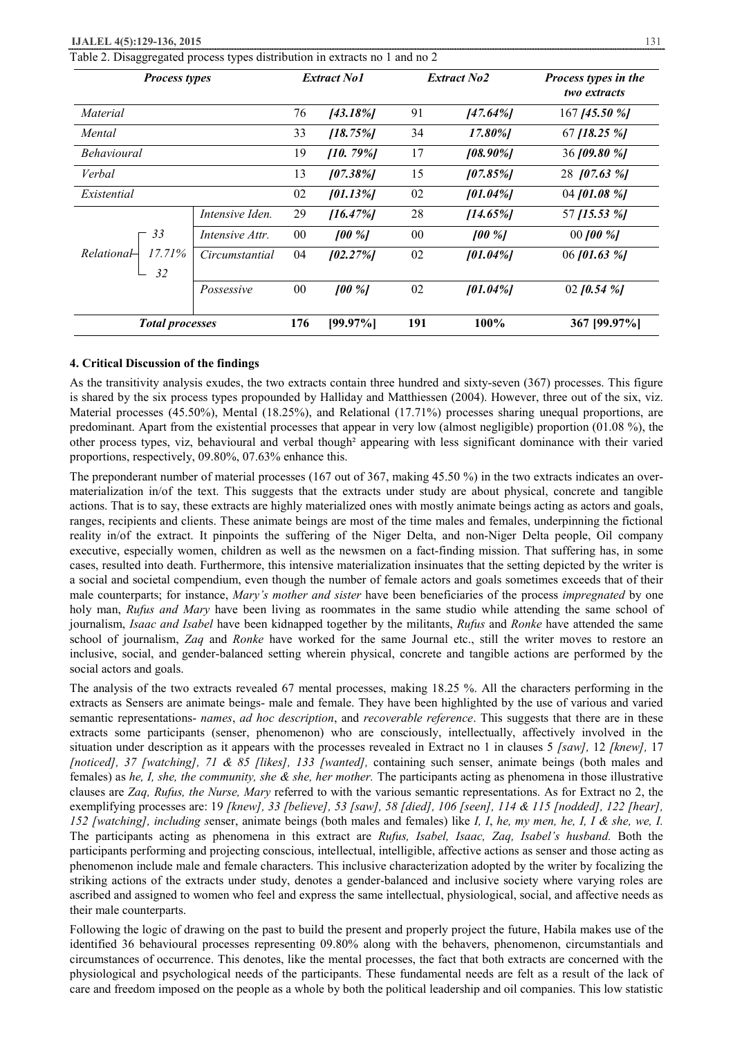Table 2. Disaggregated process types distribution in extracts no 1 and no 2

| <b>Process types</b>                |                 | <b>Extract No1</b> |             | <b>Extract No2</b> |             | Process types in the<br>two extracts |
|-------------------------------------|-----------------|--------------------|-------------|--------------------|-------------|--------------------------------------|
| Material                            |                 | 76                 | [43.18%]    | 91                 | [47.64%]    | 167 [45.50 %]                        |
| Mental                              |                 | 33                 | $[18.75\%]$ | 34                 | 17.80%]     | 67 [18.25 $%$ ]                      |
| <i>Behavioural</i>                  |                 | 19                 | [10.79%]    | 17                 | $[08.90\%]$ | 36 [09.80 %]                         |
| Verbal                              |                 | 13                 | 107.38%     | 15                 | 107.85%     | 28 [07.63 %]                         |
| Existential                         |                 | 02                 | $[01.13\%]$ | 02                 | $[01.04\%]$ | 04 [01.08 $%$ ]                      |
|                                     | Intensive Iden. | 29                 | $[16.47\%]$ | 28                 | $[14.65\%]$ | 57 [15.53 %]                         |
| 33<br>17.71%<br>$Relationa$ H<br>32 | Intensive Attr. | 00                 | $100\%$     | 00                 | $100\%$     | 00 [00 $%$ ]                         |
|                                     | Circumstantial  | 04                 | $[02.27\%]$ | 02                 | $101.04\%$  | 06 [01.63 $%$ ]                      |
|                                     | Possessive      | 00                 | $100\%$     | 02                 | $[01.04\%]$ | 02 [0.54 $\%$ ]                      |
| <b>Total processes</b>              |                 | 176                | $[99.97\%]$ | 191                | 100%        | 367 [99.97%]                         |

#### **4. Critical Discussion of the findings**

As the transitivity analysis exudes, the two extracts contain three hundred and sixty-seven (367) processes. This figure is shared by the six process types propounded by Halliday and Matthiessen (2004). However, three out of the six, viz. Material processes (45.50%), Mental (18.25%), and Relational (17.71%) processes sharing unequal proportions, are predominant. Apart from the existential processes that appear in very low (almost negligible) proportion (01.08 %), the other process types, viz, behavioural and verbal though² appearing with less significant dominance with their varied proportions, respectively, 09.80%, 07.63% enhance this.

The preponderant number of material processes (167 out of 367, making 45.50 %) in the two extracts indicates an overmaterialization in/of the text. This suggests that the extracts under study are about physical, concrete and tangible actions. That is to say, these extracts are highly materialized ones with mostly animate beings acting as actors and goals, ranges, recipients and clients. These animate beings are most of the time males and females, underpinning the fictional reality in/of the extract. It pinpoints the suffering of the Niger Delta, and non-Niger Delta people, Oil company executive, especially women, children as well as the newsmen on a fact-finding mission. That suffering has, in some cases, resulted into death. Furthermore, this intensive materialization insinuates that the setting depicted by the writer is a social and societal compendium, even though the number of female actors and goals sometimes exceeds that of their male counterparts; for instance, *Mary's mother and sister* have been beneficiaries of the process *impregnated* by one holy man, *Rufus and Mary* have been living as roommates in the same studio while attending the same school of journalism, *Isaac and Isabel* have been kidnapped together by the militants, *Rufus* and *Ronke* have attended the same school of journalism, *Zaq* and *Ronke* have worked for the same Journal etc., still the writer moves to restore an inclusive, social, and gender-balanced setting wherein physical, concrete and tangible actions are performed by the social actors and goals.

The analysis of the two extracts revealed 67 mental processes, making 18.25 %. All the characters performing in the extracts as Sensers are animate beings- male and female. They have been highlighted by the use of various and varied semantic representations- *names*, *ad hoc description*, and *recoverable reference*. This suggests that there are in these extracts some participants (senser, phenomenon) who are consciously, intellectually, affectively involved in the situation under description as it appears with the processes revealed in Extract no 1 in clauses 5 *[saw],* 12 *[knew],* 17 *[noticed], 37 [watching], 71 & 85 [likes], 133 [wanted],* containing such senser, animate beings (both males and females) as *he, I, she, the community, she & she, her mother.* The participants acting as phenomena in those illustrative clauses are *Zaq, Rufus, the Nurse, Mary* referred to with the various semantic representations. As for Extract no 2, the exemplifying processes are: 19 *[knew], 33 [believe], 53 [saw], 58 [died], 106 [seen], 114 & 115 [nodded], 122 [hear], 152 [watching], including s*enser, animate beings (both males and females) like *I, I*, *he, my men, he, I, I & she, we, I.*  The participants acting as phenomena in this extract are *Rufus, Isabel, Isaac, Zaq, Isabel's husband.* Both the participants performing and projecting conscious, intellectual, intelligible, affective actions as senser and those acting as phenomenon include male and female characters. This inclusive characterization adopted by the writer by focalizing the striking actions of the extracts under study, denotes a gender-balanced and inclusive society where varying roles are ascribed and assigned to women who feel and express the same intellectual, physiological, social, and affective needs as their male counterparts.

Following the logic of drawing on the past to build the present and properly project the future, Habila makes use of the identified 36 behavioural processes representing 09.80% along with the behavers, phenomenon, circumstantials and circumstances of occurrence. This denotes, like the mental processes, the fact that both extracts are concerned with the physiological and psychological needs of the participants. These fundamental needs are felt as a result of the lack of care and freedom imposed on the people as a whole by both the political leadership and oil companies. This low statistic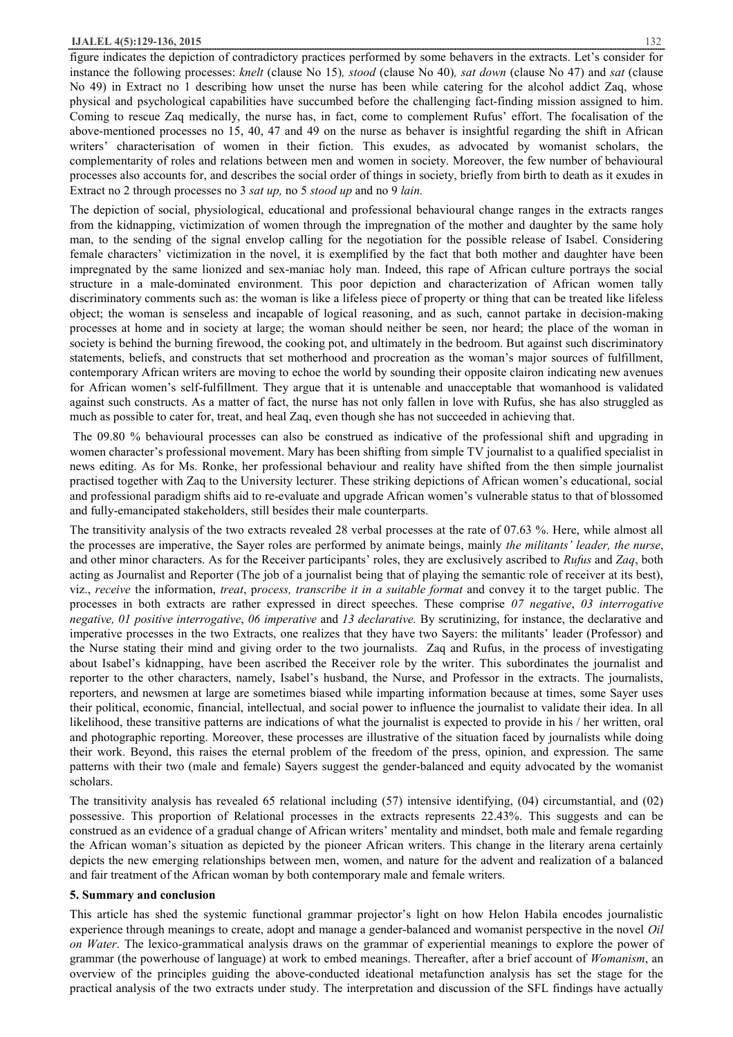#### **IJALEL 4(5):129-136, 2015** 132

figure indicates the depiction of contradictory practices performed by some behavers in the extracts. Let's consider for instance the following processes: *knelt* (clause No 15)*, stood* (clause No 40)*, sat down* (clause No 47) and *sat* (clause No 49) in Extract no 1 describing how unset the nurse has been while catering for the alcohol addict Zaq, whose physical and psychological capabilities have succumbed before the challenging fact-finding mission assigned to him. Coming to rescue Zaq medically, the nurse has, in fact, come to complement Rufus' effort. The focalisation of the above-mentioned processes no 15, 40, 47 and 49 on the nurse as behaver is insightful regarding the shift in African writers' characterisation of women in their fiction. This exudes, as advocated by womanist scholars, the complementarity of roles and relations between men and women in society. Moreover, the few number of behavioural processes also accounts for, and describes the social order of things in society, briefly from birth to death as it exudes in Extract no 2 through processes no 3 *sat up,* no 5 *stood up* and no 9 *lain.*

The depiction of social, physiological, educational and professional behavioural change ranges in the extracts ranges from the kidnapping, victimization of women through the impregnation of the mother and daughter by the same holy man, to the sending of the signal envelop calling for the negotiation for the possible release of Isabel. Considering female characters' victimization in the novel, it is exemplified by the fact that both mother and daughter have been impregnated by the same lionized and sex-maniac holy man. Indeed, this rape of African culture portrays the social structure in a male-dominated environment. This poor depiction and characterization of African women tally discriminatory comments such as: the woman is like a lifeless piece of property or thing that can be treated like lifeless object; the woman is senseless and incapable of logical reasoning, and as such, cannot partake in decision-making processes at home and in society at large; the woman should neither be seen, nor heard; the place of the woman in society is behind the burning firewood, the cooking pot, and ultimately in the bedroom. But against such discriminatory statements, beliefs, and constructs that set motherhood and procreation as the woman's major sources of fulfillment, contemporary African writers are moving to echoe the world by sounding their opposite clairon indicating new avenues for African women's self-fulfillment. They argue that it is untenable and unacceptable that womanhood is validated against such constructs. As a matter of fact, the nurse has not only fallen in love with Rufus, she has also struggled as much as possible to cater for, treat, and heal Zaq, even though she has not succeeded in achieving that.

The 09.80 % behavioural processes can also be construed as indicative of the professional shift and upgrading in women character's professional movement. Mary has been shifting from simple TV journalist to a qualified specialist in news editing. As for Ms. Ronke, her professional behaviour and reality have shifted from the then simple journalist practised together with Zaq to the University lecturer. These striking depictions of African women's educational, social and professional paradigm shifts aid to re-evaluate and upgrade African women's vulnerable status to that of blossomed and fully-emancipated stakeholders, still besides their male counterparts.

The transitivity analysis of the two extracts revealed 28 verbal processes at the rate of 07.63 %. Here, while almost all the processes are imperative, the Sayer roles are performed by animate beings, mainly *the militants' leader, the nurse*, and other minor characters. As for the Receiver participants' roles, they are exclusively ascribed to *Rufus* and *Zaq*, both acting as Journalist and Reporter (The job of a journalist being that of playing the semantic role of receiver at its best), viz., *receive* the information, *treat*, p*rocess, transcribe it in a suitable format* and convey it to the target public. The processes in both extracts are rather expressed in direct speeches. These comprise *07 negative*, *03 interrogative negative, 01 positive interrogative*, *06 imperative* and *13 declarative.* By scrutinizing, for instance, the declarative and imperative processes in the two Extracts, one realizes that they have two Sayers: the militants' leader (Professor) and the Nurse stating their mind and giving order to the two journalists. Zaq and Rufus, in the process of investigating about Isabel's kidnapping, have been ascribed the Receiver role by the writer. This subordinates the journalist and reporter to the other characters, namely, Isabel's husband, the Nurse, and Professor in the extracts. The journalists, reporters, and newsmen at large are sometimes biased while imparting information because at times, some Sayer uses their political, economic, financial, intellectual, and social power to influence the journalist to validate their idea. In all likelihood, these transitive patterns are indications of what the journalist is expected to provide in his / her written, oral and photographic reporting. Moreover, these processes are illustrative of the situation faced by journalists while doing their work. Beyond, this raises the eternal problem of the freedom of the press, opinion, and expression. The same patterns with their two (male and female) Sayers suggest the gender-balanced and equity advocated by the womanist scholars.

The transitivity analysis has revealed 65 relational including (57) intensive identifying, (04) circumstantial, and (02) possessive. This proportion of Relational processes in the extracts represents 22.43%. This suggests and can be construed as an evidence of a gradual change of African writers' mentality and mindset, both male and female regarding the African woman's situation as depicted by the pioneer African writers. This change in the literary arena certainly depicts the new emerging relationships between men, women, and nature for the advent and realization of a balanced and fair treatment of the African woman by both contemporary male and female writers.

#### **5. Summary and conclusion**

This article has shed the systemic functional grammar projector's light on how Helon Habila encodes journalistic experience through meanings to create, adopt and manage a gender-balanced and womanist perspective in the novel *Oil on Water*. The lexico-grammatical analysis draws on the grammar of experiential meanings to explore the power of grammar (the powerhouse of language) at work to embed meanings. Thereafter, after a brief account of *Womanism*, an overview of the principles guiding the above-conducted ideational metafunction analysis has set the stage for the practical analysis of the two extracts under study. The interpretation and discussion of the SFL findings have actually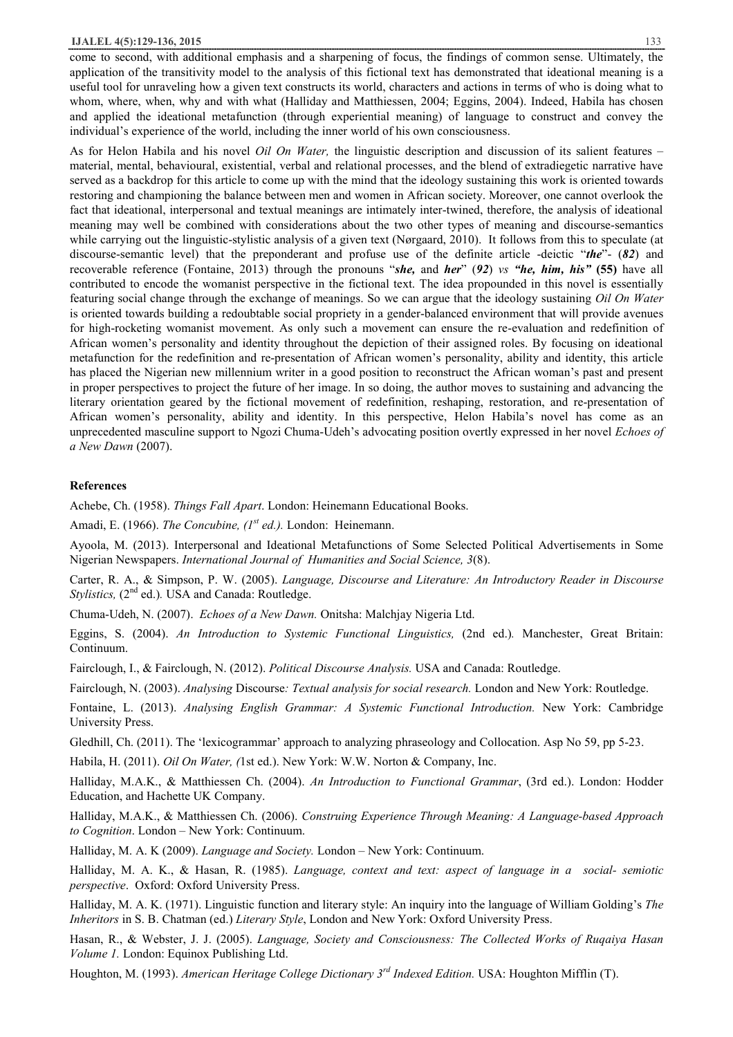#### **IJALEL 4(5):129-136, 2015** 133

come to second, with additional emphasis and a sharpening of focus, the findings of common sense. Ultimately, the application of the transitivity model to the analysis of this fictional text has demonstrated that ideational meaning is a useful tool for unraveling how a given text constructs its world, characters and actions in terms of who is doing what to whom, where, when, why and with what (Halliday and Matthiessen, 2004; Eggins, 2004). Indeed, Habila has chosen and applied the ideational metafunction (through experiential meaning) of language to construct and convey the individual's experience of the world, including the inner world of his own consciousness.

As for Helon Habila and his novel *Oil On Water,* the linguistic description and discussion of its salient features – material, mental, behavioural, existential, verbal and relational processes, and the blend of extradiegetic narrative have served as a backdrop for this article to come up with the mind that the ideology sustaining this work is oriented towards restoring and championing the balance between men and women in African society. Moreover, one cannot overlook the fact that ideational, interpersonal and textual meanings are intimately inter-twined, therefore, the analysis of ideational meaning may well be combined with considerations about the two other types of meaning and discourse-semantics while carrying out the linguistic-stylistic analysis of a given text (Nørgaard, 2010). It follows from this to speculate (at discourse-semantic level) that the preponderant and profuse use of the definite article -deictic "*the*"- (*82*) and recoverable reference (Fontaine, 2013) through the pronouns "*she,* and *her*" (*92*) *vs "he, him, his"* **(55)** have all contributed to encode the womanist perspective in the fictional text. The idea propounded in this novel is essentially featuring social change through the exchange of meanings. So we can argue that the ideology sustaining *Oil On Water* is oriented towards building a redoubtable social propriety in a gender-balanced environment that will provide avenues for high-rocketing womanist movement. As only such a movement can ensure the re-evaluation and redefinition of African women's personality and identity throughout the depiction of their assigned roles. By focusing on ideational metafunction for the redefinition and re-presentation of African women's personality, ability and identity, this article has placed the Nigerian new millennium writer in a good position to reconstruct the African woman's past and present in proper perspectives to project the future of her image. In so doing, the author moves to sustaining and advancing the literary orientation geared by the fictional movement of redefinition, reshaping, restoration, and re-presentation of African women's personality, ability and identity. In this perspective, Helon Habila's novel has come as an unprecedented masculine support to Ngozi Chuma-Udeh's advocating position overtly expressed in her novel *Echoes of a New Dawn* (2007).

#### **References**

Achebe, Ch. (1958). *Things Fall Apart*. London: Heinemann Educational Books.

Amadi, E. (1966). *The Concubine, (1st ed.).* London: Heinemann.

Ayoola, M. (2013). Interpersonal and Ideational Metafunctions of Some Selected Political Advertisements in Some Nigerian Newspapers. *International Journal of Humanities and Social Science, 3*(8).

Carter, R. A., & Simpson, P. W. (2005). *Language, Discourse and Literature: An Introductory Reader in Discourse Stylistics,* (2<sup>nd</sup> ed.). USA and Canada: Routledge.

Chuma-Udeh, N. (2007). *Echoes of a New Dawn.* Onitsha: Malchjay Nigeria Ltd.

Eggins, S. (2004). *An Introduction to Systemic Functional Linguistics,* (2nd ed.)*.* Manchester, Great Britain: Continuum.

Fairclough, I., & Fairclough, N. (2012). *Political Discourse Analysis.* USA and Canada: Routledge.

Fairclough, N. (2003). *Analysing* Discourse*: Textual analysis for social research.* London and New York: Routledge.

Fontaine, L. (2013). *Analysing English Grammar: A Systemic Functional Introduction.* New York: Cambridge University Press.

Gledhill, Ch. (2011). The 'lexicogrammar' approach to analyzing phraseology and Collocation. Asp No 59, pp 5-23.

Habila, H. (2011). *Oil On Water, (*1st ed.). New York: W.W. Norton & Company, Inc.

Halliday, M.A.K., & Matthiessen Ch. (2004). *An Introduction to Functional Grammar*, (3rd ed.). London: Hodder Education, and Hachette UK Company.

Halliday, M.A.K., & Matthiessen Ch. (2006). *Construing Experience Through Meaning: A Language-based Approach to Cognition*. London – New York: Continuum.

Halliday, M. A. K (2009). *Language and Society.* London – New York: Continuum.

Halliday, M. A. K., & Hasan, R. (1985). *Language, context and text: aspect of language in a social- semiotic perspective*. Oxford: Oxford University Press.

Halliday, M. A. K. (1971). Linguistic function and literary style: An inquiry into the language of William Golding's *The Inheritors* in S. B. Chatman (ed.) *Literary Style*, London and New York: Oxford University Press.

Hasan, R., & Webster, J. J. (2005). *Language, Society and Consciousness: The Collected Works of Ruqaiya Hasan Volume 1.* London: Equinox Publishing Ltd.

Houghton, M. (1993). *American Heritage College Dictionary 3rd Indexed Edition.* USA: Houghton Mifflin (T).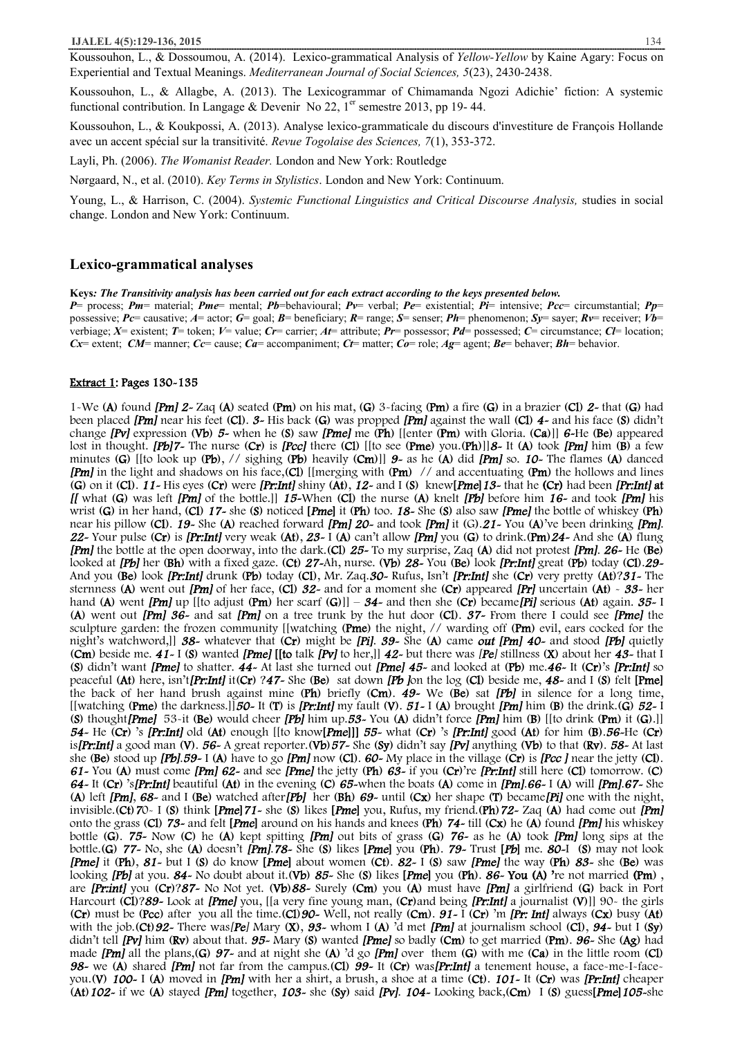Koussouhon, L., & Dossoumou, A. (2014). Lexico-grammatical Analysis of *Yellow-Yellow* by Kaine Agary: Focus on Experiential and Textual Meanings. *Mediterranean Journal of Social Sciences, 5*(23), 2430-2438.

Koussouhon, L., & Allagbe, A. (2013). The Lexicogrammar of Chimamanda Ngozi Adichie' fiction: A systemic functional contribution. In Langage & Devenir No 22,  $1<sup>er</sup>$  semestre 2013, pp 19-44.

Koussouhon, L., & Koukpossi, A. (2013). Analyse lexico-grammaticale du discours d'investiture de François Hollande avec un accent spécial sur la transitivité. *Revue Togolaise des Sciences, 7*(1), 353-372.

Layli, Ph. (2006). *The Womanist Reader.* London and New York: Routledge

Nørgaard, N., et al. (2010). *Key Terms in Stylistics*. London and New York: Continuum.

Young, L., & Harrison, C. (2004). *Systemic Functional Linguistics and Critical Discourse Analysis,* studies in social change. London and New York: Continuum.

### **Lexico-grammatical analyses**

**Keys***: The Transitivity analysis has been carried out for each extract according to the keys presented below.* 

*P*= process; *Pm*= material; *Pme*= mental; *Pb*=behavioural; *Pv*= verbal; *Pe*= existential; *Pi*= intensive; *Pcc*= circumstantial; *Pp*= possessive; *Pc*= causative; *A*= actor; *G*= goal; *B*= beneficiary; *R*= range; *S*= senser; *Ph*= phenomenon; *Sy*= sayer; *Rv*= receiver; *Vb*= verbiage; *X*= existent; *T*= token; *V*= value; *Cr*= carrier; *At*= attribute; *Pr*= possessor; *Pd*= possessed; *C*= circumstance; *Cl*= location; *Cx*= extent; *CM*= manner; *Cc*= cause; *Ca*= accompaniment; *Ct*= matter; *Co*= role; *Ag*= agent; *Be*= behaver; *Bh*= behavior.

#### **Extract 1: Pages 130-135**

1-We (**A**) found *[Pm] 2-* Zaq (**A**) seated (**Pm**) on his mat, (**G**) 3-facing (**Pm**) a fire (**G**) in a brazier (**Cl**) *2-* that (**G**) had been placed *[Pm]* near his feet (**Cl**). *3-* His back (**G**) was propped *[Pm]* against the wall (**Cl**) *4-* and his face (**S**) didn't change *[Pv]* expression (**Vb**) *5-* when he (**S**) saw *[Pme]* me (**Ph**) [[enter (**Pm**) with Gloria. (**Ca**)]] *6-*He (**Be**) appeared lost in thought. *[Pb]7-* The nurse (**Cr**) is *[Pcc]* there (**Cl**) [[to see (**Pme**) you.(**Ph**)]]*8-* It (**A**) took *[Pm]* him (**B**) a few minutes (**G**) [[to look up (**Pb**), // sighing (**Pb**) heavily (**Cm**)]] *9-* as he (**A**) did *[Pm]* so. *10-* The flames (**A**) danced *[Pm]* in the light and shadows on his face,(**Cl**) [[merging with (**Pm**) // and accentuating (**Pm**) the hollows and lines (G) on it (Cl).  $11$ -His eyes (Cr) were [Pr:Int] shiny (At),  $12$ - and I (S) knew [Pme]  $13$ - that he (Cr) had been [Pr:Int] at *[[* what (**G**) was left *[Pm]* of the bottle.]] *15-*When (**Cl**) the nurse (**A**) knelt *[Pb]* before him *16-* and took *[Pm]* his wrist (**G**) in her hand, (**Cl**) *17-* she (**S**) noticed **[***Pme***]** it (**Ph**) too. *18-* She (**S**) also saw *[Pme]* the bottle of whiskey (**Ph**) near his pillow (**Cl**). *19-* She (**A**) reached forward *[Pm] 20-* and took *[Pm]* it (G).*21-* You (**A**)'ve been drinking *[Pm]*. *22-* Your pulse (**Cr**) is *[Pr:Int]* very weak (**At**), *23-* I (**A**) can't allow *[Pm]* you (**G**) to drink.(**Pm**)*24-* And she (**A**) flung *[Pm]* the bottle at the open doorway, into the dark.(**Cl**) *25-* To my surprise, Zaq (**A**) did not protest *[Pm]*. *26-* He (**Be**) looked at *[Pb]* her (**Bh**) with a fixed gaze. (**Ct**) *27-*Ah, nurse. (**Vb**) *28-* You (**Be**) look *[Pr:Int]* great (**Pb**) today (**Cl**).*29-*  And you (**Be**) look *[Pr:Int]* drunk (**Pb**) today (**Cl**), Mr. Zaq.*30-* Rufus, Isn't *[Pr:Int]* she (**Cr**) very pretty (**At**)?*31-* The sternness (**A**) went out *[Pm]* of her face, (**Cl**) *32-* and for a moment she (**Cr**) appeared *[Pr]* uncertain (**At**) - *33-* her hand (**A**) went *[Pm]* up [[to adjust (**Pm**) her scarf (**G**)]] – *34-* and then she (**Cr**) became*[Pi]* serious (**At**) again. *35-* I (**A**) went out *[Pm] 36-* and sat *[Pm]* on a tree trunk by the hut door (**Cl**). *37-* From there I could see *[Pme]* the sculpture garden: the frozen community [[watching (**Pme**) the night, // warding off (**Pm**) evil, ears cocked for the night's watchword,]] *38-* whatever that (**Cr**) might be *[Pi]*. *39-* She (**A**) came *out [Pm] 40-* and stood *[Pb]* quietly (**Cm**) beside me. *41-* I (**S**) wanted *[Pme]* **[[to** talk *[Pv]* to her,]] *42-* but there was *[Pe]* stillness (**X**) about her *43-* that I (**S**) didn't want *[Pme]* to shatter. *44-* At last she turned out *[Pme] 45-* and looked at (**Pb**) me.*46-* It (**Cr**)'s *[Pr:Int]* so peaceful (**At**) here, isn't*[Pr:Int]* it(**Cr**) ?*47-* She (**Be**) sat down *[Pb ]*on the log (**Cl**) beside me, *48-* and I (**S**) felt **[Pme]**  the back of her hand brush against mine (**Ph**) briefly (**Cm**). *49-* We (**Be**) sat *[Pb]* in silence for a long time, [[watching (**Pme**) the darkness.]]*50-* It (**T**) is *[Pr:Int]* my fault (**V**). *51-* I (**A**) brought *[Pm]* him (**B**) the drink.(**G**) *52-* I (**S**) thought*[Pme]* 53-it (**Be**) would cheer *[Pb]* him up.*53-* You (**A**) didn't force *[Pm]* him (**B**) [[to drink (**Pm**) it (**G**).]] *54-* He (**Cr**) 's *[Pr:Int]* old (**At**) enough [[to know**[***Pme***]]]** *55-* what (**Cr**) 's *[Pr:Int]* good (**At**) for him (**B**).*56-*He (**Cr**) is*[Pr:Int]* a good man (**V**). *56-* A great reporter.(**Vb**)*57-* She (**Sy**) didn't say *[Pv]* anything (**Vb**) to that (**Rv**). *58-* At last she (**Be**) stood up *[Pb]*.*59-* I (**A**) have to go *[Pm]* now (**Cl**). *60-* My place in the village (**Cr**) is *[Pcc ]* near the jetty (**Cl**). *61-* You (**A**) must come *[Pm] 62-* and see *[Pme]* the jetty (**Ph**) *63-* if you (**Cr**)'re *[Pr:Int]* still here (**Cl**) tomorrow. (**C**) *64-* It (**Cr**) 's*[Pr:Int]* beautiful (**At**) in the evening (**C**) *65-*when the boats (**A**) come in *[Pm]*.*66-* I (**A**) will *[Pm]*.*67-* She (**A**) left *[Pm]*, *68-* and I (**Be**) watched after*[Pb]* her (**Bh**) *69-* until (**Cx**) her shape (**T**) became*[Pi]* one with the night, invisible.(**Ct**)*7*0- I (**S**) think **[***Pme***]***71-* she (**S**) likes **[***Pme***]** you, Rufus, my friend.(**Ph**)*72-* Zaq (**A**) had come out *[Pm]*  onto the grass (**Cl**) *73-* and felt **[***Pme***]** around on his hands and knees (**Ph**) *74-* till (**Cx**) he (**A**) found *[Pm]* his whiskey bottle (**G**). *75-* Now (**C**) he (**A**) kept spitting *[Pm]* out bits of grass (**G**) *76-* as he (**A**) took *[Pm]* long sips at the bottle.(G) 77- No, she (A) doesn't  $[Pm]$ .78- She (S) likes [Pme] you (Ph). 79- Trust [Pb] me. 80-1 (S) may not look *[Pme]* it (**Ph**), *81-* but I (**S**) do know **[***Pme***]** about women (**Ct**). *82-* I (**S**) saw *[Pme]* the way (**Ph**) *83-* she (**Be**) was looking *[Pb]* at you. *84-* No doubt about it.(**Vb**) *85-* She (**S**) likes **[***Pme***]** you (**Ph**). *86-* **You (A) '**re not married **(Pm**) , are *[Pr:int]* you (**Cr**)?*87-* No Not yet. (**Vb**)*88-* Surely (**Cm**) you (**A**) must have *[Pm]* a girlfriend (**G**) back in Port Harcourt (**Cl**)?*89-* Look at *[Pme]* you, [[a very fine young man, (**Cr**)and being *[Pr:Int]* a journalist (**V**)]] 90- the girls (**Cr**) must be (**Pcc**) after you all the time.(**Cl**)*90-* Well, not really (**Cm**). *91-* I (**Cr**) 'm *[Pr: Int]* always (**Cx**) busy (**At**) with the job.(**Ct**)*92-* There was*[Pe]* Mary (**X**), *93-* whom I (**A**) 'd met *[Pm]* at journalism school (**Cl**), *94-* but I (**Sy**) didn't tell *[Pv]* him (**Rv**) about that. *95-* Mary (**S**) wanted *[Pme]* so badly (**Cm**) to get married (**Pm**). *96-* She (**Ag**) had made *[Pm]* all the plans,(**G**) *97-* and at night she (**A**) 'd go *[Pm]* over them (**G**) with me (**Ca**) in the little room (**Cl**) *98-* we (**A**) shared *[Pm]* not far from the campus.(**Cl**) *99-* It (**Cr**) was*[Pr:Int]* a tenement house, a face-me-I-faceyou.(**V**) *100-* I (**A**) moved in *[Pm]* with her a shirt, a brush, a shoe at a time (**Ct**). *101-* It (**Cr**) was *[Pr:Int]* cheaper (**At**)*102-* if we (**A**) stayed *[Pm]* together, *103-* she (**Sy**) said *[Pv]*. *104-* Looking back,(**Cm**) I (**S**) guess**[***Pme***]***105-*she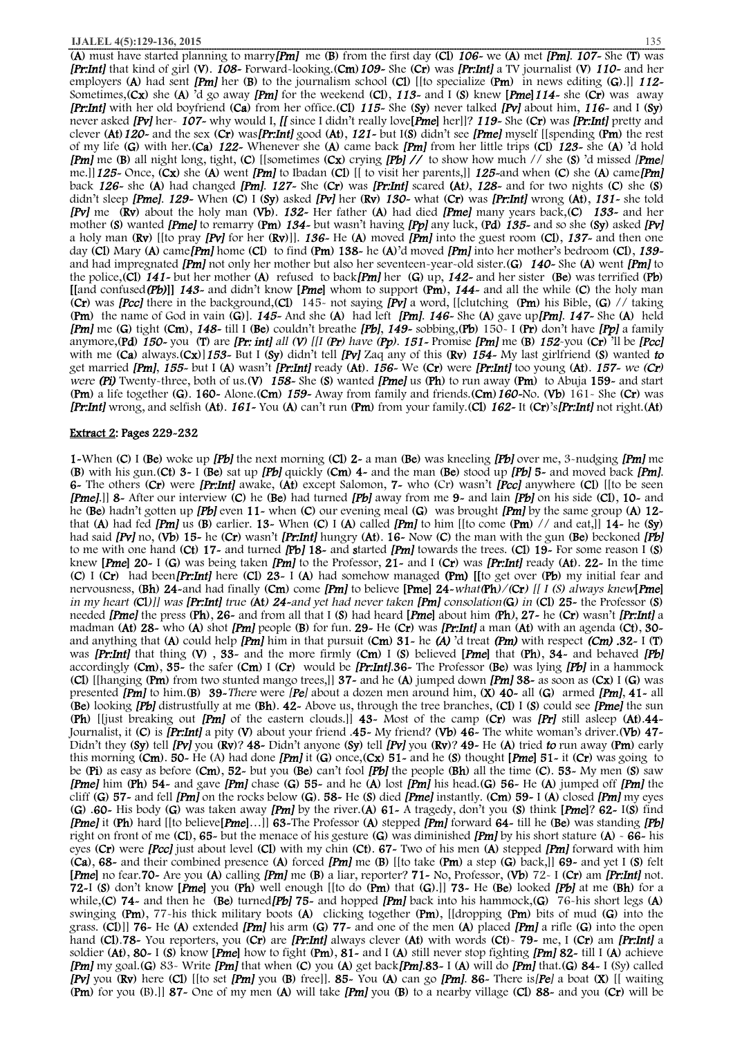(**A**) must have started planning to marry*[Pm]* me (**B**) from the first day (**Cl**) *106-* we (**A**) met *[Pm]*. *107-* She (**T**) was *[Pr:Int]* that kind of girl (**V**). *108-* Forward-looking.(**Cm**)*109-* She (**Cr**) was *[Pr:Int]* a TV journalist (**V**) *110-* and her employers (**A**) had sent *[Pm]* her (**B**) to the journalism school (**Cl**) [[to specialize (**Pm**) in news editing (**G**).]] *112-*  Sometimes,(**Cx**) she (**A**) 'd go away *[Pm]* for the weekend (**Cl**), *113-* and I (**S**) knew **[***Pme***]***114-* she (**Cr**) was away *[Pr:Int]* with her old boyfriend (**Ca**) from her office.(**Cl**) *115-* She (**Sy**) never talked *[Pv]* about him, *116-* and I (**Sy**) never asked *[Pv]* her- *107-* why would I, *[[* since I didn't really love**[***Pme***]** her]]? *119-* She (**Cr**) was *[Pr:Int]* pretty and clever (**At**)*120-* and the sex (**Cr**) was*[Pr:Int]* good (**At**), *121-* but I(**S**) didn't see *[Pme]* myself [[spending (**Pm**) the rest of my life (**G**) with her.(**Ca**) *122-* Whenever she (**A**) came back *[Pm]* from her little trips (**Cl**) *123-* she (**A**) 'd hold *[Pm]* me (**B**) all night long, tight, (**C**) [[sometimes (**Cx**) crying *[Pb] //* to show how much // she (**S**) 'd missed *[Pme]*  me.]]*125-* Once, (**Cx**) she (**A**) went *[Pm]* to Ibadan (**Cl**) [[ to visit her parents,]] *125-*and when (**C**) she (**A**) came*[Pm]*  back *126-* she (**A**) had changed *[Pm]*. *127-* She (**Cr**) was *[Pr:Int]* scared **(At***)*, *128-* and for two nights (**C**) she (**S**) didn't sleep *[Pme]*. *129-* When (**C**) I (**Sy**) asked *[Pv]* her (**Rv**) *130-* what (**Cr**) was *[Pr:Int]* wrong (**At**), *131-* she told *[Pv]* me (**Rv**) about the holy man (**Vb**). *132-* Her father (**A**) had died *[Pme]* many years back,(**C**) *133-* and her mother (**S**) wanted *[Pme]* to remarry (**Pm**) *134-* but wasn't having *[Pp]* any luck, (**Pd**) *135-* and so she (**Sy**) asked *[Pv]*  a holy man (**Rv**) [[to pray *[Pv]* for her (**Rv**)]]. *136-* He (**A**) moved *[Pm]* into the guest room (**Cl**), *137-* and then one day (**Cl**) Mary (**A**) came*[Pm]* home (**Cl**) to find (**Pm**) **138-** he (**A**)'d moved *[Pm]* into her mother's bedroom (**Cl**), *139*  and had impregnated *[Pm]* not only her mother but also her seventeen-year-old sister.(**G**) *140-* She (**A**) went *[Pm]* to the police,(**Cl**) *141-* but her mother (**A**) refused to back*[Pm]* her (**G**) up, *142-* and her sister (**Be**) was terrified (**Pb**) **[[**and confused*(Pb)***]]** *143-* and didn't know **[***Pme***]** whom to support (**Pm**), *144-* and all the while (**C**) the holy man (**Cr**) was *[Pcc]* there in the background,(**Cl**) 145- not saying *[Pv]* a word, [[clutching (**Pm**) his Bible, (**G**) // taking (**Pm**) the name of God in vain (**G**)]. *145-* And she (**A**) had left *[Pm]*. *146-* She (**A**) gave up*[Pm]*. *147-* She (**A**) held *[Pm]* me (**G**) tight (**Cm**), *148-* till I (**Be**) couldn't breathe *[Pb]*, *149-* sobbing,(**Pb**) 150- I (**Pr**) don't have *[Pp]* a family anymore, (Pd) 150-you (T) are [Pr: int] all (V) [[I (Pr) have (Pp). 151- Promise [Pm] me (B) 152-you (Cr) ll be [Pcc] with me (**Ca**) always.(**Cx**)]*153-* But I (**Sy**) didn't tell *[Pv]* Zaq any of this (**Rv**) *154-* My last girlfriend (**S**) wanted *to* get married *[Pm]*, *155-* but I (**A**) wasn't *[Pr:Int]* ready (**At**). *156-* We (**Cr**) were *[Pr:Int]* too young (**At**). *157- we (Cr) were (Pi)* Twenty-three, both of us.(**V**) *158-* She (**S**) wanted *[Pme]* us (**Ph**) to run away (**Pm**) to Abuja **159-** and start (**Pm**) a life together (**G**). **160-** Alone.(**Cm**) *159-* Away from family and friends.(**Cm**)*160-*No. (**Vb**) 161- She (**Cr**) was *[Pr:Int]* wrong, and selfish (**At**). *161-* You (**A**) can't run (**Pm**) fromyour family.(**Cl**) *162-* It (**Cr**)'s*[Pr:Int]* not right.(**At**)

#### **Extract 2: Pages 229-232**

**1-**When (**C**) I (**Be**) woke up *[Pb]* the next morning (**Cl**) **2-** a man (**Be**) was kneeling *[Pb]* over me, 3-nudging *[Pm]* me (**B**) with his gun.(**Ct**) **3-** I (**Be**) sat up *[Pb]* quickly (**Cm**) **4-** and the man (**Be**) stood up *[Pb]* **5-** and moved back *[Pm]*. **6-** The others (**Cr**) were *[Pr:Int]* awake, (**At**) except Salomon, **7-** who (Cr) wasn't *[Pcc]* anywhere (**Cl**) [[to be seen *[Pme]*.]] **8-** After our interview (**C**) he (**Be**) had turned *[Pb]* away from me **9-** and lain *[Pb]* on his side (**Cl**), **10-** and he (**Be**) hadn't gotten up *[Pb]* even **11-** when (**C**) our evening meal (**G**) was brought *[Pm]* by the same group (**A**) **12** that (**A**) had fed *[Pm]* us (**B**) earlier. **13-** When (**C**) I (**A**) called *[Pm]* to him [[to come (**Pm**) // and eat,]] **14-** he (**Sy**) had said *[Pv]* no, (**Vb**) **15-** he (**Cr**) wasn't *[Pr:Int]* hungry (**At**). **16-** Now (**C**) the man with the gun (**Be**) beckoned *[Pb]*  to me with one hand (**Ct**) **17-** and turned *[***Pb***]* **18-** and **s**tarted*[Pm]* towards the trees. (**Cl**) **19-** For some reason I (**S**) knew **[***Pme***] 20-** I (**G**) was being taken *[Pm]* to the Professor, **21-** and I (**Cr**) was *[Pr:Int]* ready (**At**). **22-** In the time (**C**) I (**Cr**) had been*[Pr:Int]* here (**Cl**) **23-** I (**A**) had somehow managed **(Pm)****[[**to get over (**Pb**) my initial fear and nervousness, (Bh) 24-and had finally (Cm) come [Pm] to believe [Pme] 24-what (Ph)/(Cr) [[ I (S) always knew[Pme] in my heart (Cl)]] was [Pr:Int] true (At) 24-and yet had never taken [Pm] consolation(G) in (Cl) 25- the Professor (S) needed *[Pme]* the press (**Ph**), **26-** and from all that I (**S**) had heard **[***Pme***]** about him *(***Ph***)*, **27-** he (**Cr**) wasn't *[Pr:Int]* a madman (**At**) **28-** who (**A**) shot *[Pm]* people (**B**) for fun. **29-** He (**Cr**) was *[Pr:Int]* a man (**At**) with an agenda (**Ct**), **30**  and anything that (**A**) could help *[Pm]* him in that pursuit (**Cm**) **31-** he *(A)* 'd treat *(Pm)* with respect *(Cm) .***32-** I (**T**) was *[Pr:Int]* that thing (**V**) , **33-** and the more firmly (**Cm**) I (**S**) believed **[***Pme***]** that (**Ph**), **34-** and behaved *[Pb]*  accordingly (**Cm**), **35-** the safer (**Cm**) I (**Cr**) would be *[Pr:Int]*.**36-** The Professor (**Be**) was lying *[Pb]* in a hammock (**Cl**) [[hanging (**Pm**) from two stunted mango trees,]] **37-** and he (**A**) jumped down *[Pm]* **38-** as soon as (**Cx**) I (**G**) was presented *[Pm]* to him.(**B**) **39-***There* were *[Pe]* about a dozen men around him, (**X**) **40-** all (**G**) armed *[Pm]*, **41-** all (**Be**) looking *[Pb]* distrustfully at me (**Bh**). **42-** Above us, through the tree branches, (**Cl**) I (**S**) could see *[Pme]* the sun (**Ph**) [[just breaking out *[Pm]* of the eastern clouds.]] **43-** Most of the camp (**Cr**) was *[Pr]* still asleep (**At**).**44-**  Journalist, it (**C**) is *[Pr:Int]* a pity (**V**) about your friend .**45-** My friend? (**Vb**) **46-** The white woman's driver.(**Vb**) **47-**  Didn't they (**Sy**) tell *[Pv]* you (**Rv**)? **48-** Didn't anyone (**Sy**) tell *[Pv]* you (**Rv**)? **49-** He (**A**) tried *to* run away (**Pm**) early this morning (**Cm**). **50-** He (A) had done *[Pm]* it (**G**) once,(**Cx**) **51-** and he (**S**) thought **[***Pme***] 51-** it (**Cr**) was going to be (**Pi**) as easy as before (**Cm**), **52-** but you (**Be**) can't fool *[Pb]* the people (**Bh**) all the time (**C**). **53-** My men (**S**) saw *[Pme]* him (**Ph**) **54-** and gave *[Pm]* chase (**G**) **55-** and he (**A**) lost *[Pm]* his head.(**G**) **56-** He (**A**) jumped off *[Pm]* the cliff (**G**) **57-** and fell *[Pm]* on the rocks below (**G**). **58-** He (**S**) died *[Pme]* instantly. (**Cm**) **59-** I (**A**) closed *[Pm]* my eyes (**G**) .**60-** His body (**G**) was taken away *[Pm]* by the river.(**A**) **61-** A tragedy, don't you (**S**) think **[***Pme***]**? **62-** I(**S**) find *[Pme]* it (**Ph**) hard [[to believe**[***Pme***]**…]] **63-**The Professor (**A**) stepped *[Pm]* forward **64-** till he (**Be**) was standing *[Pb]*  right on front of me (**Cl**), **65-** but the menace of his gesture (**G**) was diminished *[Pm]* by his short stature (**A**) - **66-** his eyes (**Cr**) were *[Pcc]* just about level (**Cl**) with my chin (**Ct**). **67-** Two of his men (**A**) stepped *[Pm]* forward with him (**Ca**), **68-** and their combined presence (**A**) forced *[Pm]* me (**B**) [[to take (**Pm**) a step (**G**) back,]] **69-** and yet I (**S**) felt **[***Pme***]** no fear.**70-** Are you (**A**) calling *[Pm]* me (**B**) a liar, reporter? **71-** No, Professor, (**Vb**) 72- I (**Cr**) am *[Pr:Int]* not. **72-**I (**S**) don't know **[***Pme***]** you (**Ph**) well enough [[to do (**Pm**) that (**G**).]] **73-** He (**Be**) looked *[Pb]* at me (**Bh**) for a while,(**C**) **74-** and then he (**Be**) turned*[Pb]* **75-** and hopped *[Pm]* back into his hammock,(**G**) 76-his short legs (**A**) swinging (**Pm**), 77-his thick military boots (**A**) clicking together (**Pm**), [[dropping (**Pm**) bits of mud (**G**) into the grass. (**Cl**)]] **76-** He (**A**) extended *[Pm]* his arm (**G**) **77-** and one of the men (**A**) placed *[Pm]* a rifle (**G**) into the open hand (**Cl**).**78-** You reporters, you (**Cr**) are *[Pr:Int]* always clever (**At**) with words (**Ct**)- **79-** me, I (**Cr**) am *[Pr:Int]* a soldier (**At**), **80-** I (**S**) know **[***Pme***]** how to fight (**Pm**), **81-** and I (**A**) still never stop fighting *[Pm]* **82-** till I (**A**) achieve *[Pm]* my goal.(**G**) 83- Write *[Pm]* that when (**C**) you (**A**) get back*[Pm]*.**83-** I (**A**) will do *[Pm]* that.(**G**) **84-** I (Sy) called *[Pv]* you (**Rv**) here (**Cl**) [[to set *[Pm]* you (**B**) free]]. **85-** You (**A**) can go *[Pm]*. **86-** There is*[Pe]* a boat (**X**) [[ waiting (**Pm**) for you (B).]] **87-** One of my men (**A**) will take *[Pm]* you (**B**) to a nearby village (**Cl**) **88-** and you (**Cr**) will be